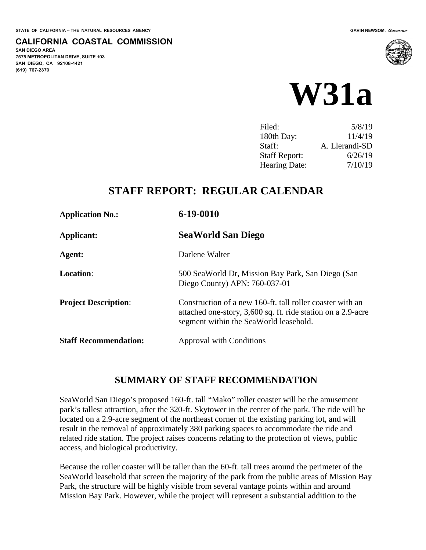**SAN DIEGO AREA**

**(619) 767-2370**

**7575 METROPOLITAN DRIVE, SUITE 103 SAN DIEGO, CA 92108-4421**

**CALIFORNIA COASTAL COMMISSION**



| Filed:               | 5/8/19         |
|----------------------|----------------|
| 180th Day:           | 11/4/19        |
| Staff:               | A. Llerandi-SD |
| <b>Staff Report:</b> | 6/26/19        |
| <b>Hearing Date:</b> | 7/10/19        |

# **STAFF REPORT: REGULAR CALENDAR**

| <b>Application No.:</b>      | $6 - 19 - 0010$                                                                                                                                                     |
|------------------------------|---------------------------------------------------------------------------------------------------------------------------------------------------------------------|
| Applicant:                   | <b>SeaWorld San Diego</b>                                                                                                                                           |
| Agent:                       | Darlene Walter                                                                                                                                                      |
| <b>Location:</b>             | 500 SeaWorld Dr, Mission Bay Park, San Diego (San<br>Diego County) APN: 760-037-01                                                                                  |
| <b>Project Description:</b>  | Construction of a new 160-ft. tall roller coaster with an<br>attached one-story, 3,600 sq. ft. ride station on a 2.9-acre<br>segment within the SeaWorld leasehold. |
| <b>Staff Recommendation:</b> | Approval with Conditions                                                                                                                                            |

### **SUMMARY OF STAFF RECOMMENDATION**

SeaWorld San Diego's proposed 160-ft. tall "Mako" roller coaster will be the amusement park's tallest attraction, after the 320-ft. Skytower in the center of the park. The ride will be located on a 2.9-acre segment of the northeast corner of the existing parking lot, and will result in the removal of approximately 380 parking spaces to accommodate the ride and related ride station. The project raises concerns relating to the protection of views, public access, and biological productivity.

Because the roller coaster will be taller than the 60-ft. tall trees around the perimeter of the SeaWorld leasehold that screen the majority of the park from the public areas of Mission Bay Park, the structure will be highly visible from several vantage points within and around Mission Bay Park. However, while the project will represent a substantial addition to the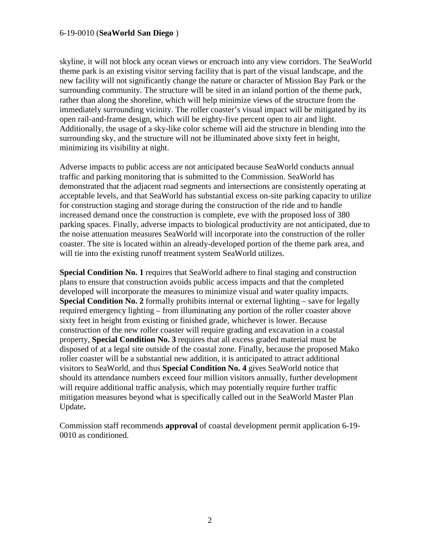skyline, it will not block any ocean views or encroach into any view corridors. The SeaWorld theme park is an existing visitor serving facility that is part of the visual landscape, and the new facility will not significantly change the nature or character of Mission Bay Park or the surrounding community. The structure will be sited in an inland portion of the theme park, rather than along the shoreline, which will help minimize views of the structure from the immediately surrounding vicinity. The roller coaster's visual impact will be mitigated by its open rail-and-frame design, which will be eighty-five percent open to air and light. Additionally, the usage of a sky-like color scheme will aid the structure in blending into the surrounding sky, and the structure will not be illuminated above sixty feet in height, minimizing its visibility at night.

Adverse impacts to public access are not anticipated because SeaWorld conducts annual traffic and parking monitoring that is submitted to the Commission. SeaWorld has demonstrated that the adjacent road segments and intersections are consistently operating at acceptable levels, and that SeaWorld has substantial excess on-site parking capacity to utilize for construction staging and storage during the construction of the ride and to handle increased demand once the construction is complete, eve with the proposed loss of 380 parking spaces. Finally, adverse impacts to biological productivity are not anticipated, due to the noise attenuation measures SeaWorld will incorporate into the construction of the roller coaster. The site is located within an already-developed portion of the theme park area, and will tie into the existing runoff treatment system SeaWorld utilizes.

**Special Condition No. 1** requires that SeaWorld adhere to final staging and construction plans to ensure that construction avoids public access impacts and that the completed developed will incorporate the measures to minimize visual and water quality impacts. **Special Condition No. 2** formally prohibits internal or external lighting – save for legally required emergency lighting – from illuminating any portion of the roller coaster above sixty feet in height from existing or finished grade, whichever is lower. Because construction of the new roller coaster will require grading and excavation in a coastal property, **Special Condition No. 3** requires that all excess graded material must be disposed of at a legal site outside of the coastal zone. Finally, because the proposed Mako roller coaster will be a substantial new addition, it is anticipated to attract additional visitors to SeaWorld, and thus **Special Condition No. 4** gives SeaWorld notice that should its attendance numbers exceed four million visitors annually, further development will require additional traffic analysis, which may potentially require further traffic mitigation measures beyond what is specifically called out in the SeaWorld Master Plan Update**.** 

Commission staff recommends **approval** of coastal development permit application 6-19- 0010 as conditioned.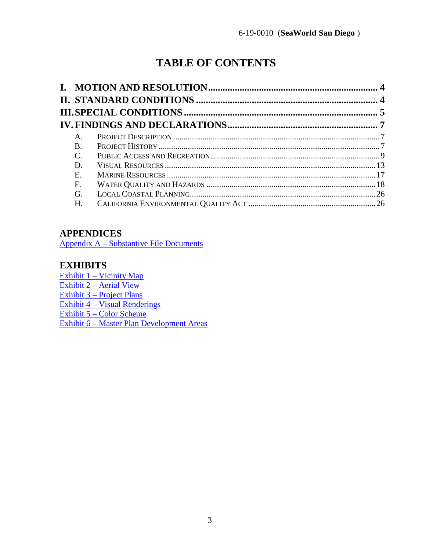# **TABLE OF CONTENTS**

| A.             |  |
|----------------|--|
| <b>B.</b>      |  |
| $\mathbf{C}$ . |  |
| D.             |  |
| Е.             |  |
| F.             |  |
| G.             |  |
| H.             |  |

# **APPENDICES**

[Appendix A – Substantive File Documents](#page-27-0)

### **EXHIBITS**

[Exhibit 1 – Vicinity Map](https://documents.coastal.ca.gov/reports/2019/7/w31a/w31a-7-2019-exhibits.pdf) [Exhibit 2 – Aerial View](https://documents.coastal.ca.gov/reports/2019/7/w31a/w31a-7-2019-exhibits.pdf) [Exhibit 3 – Project Plans](https://documents.coastal.ca.gov/reports/2019/7/w31a/w31a-7-2019-exhibits.pdf) [Exhibit 4 – Visual Renderings](https://documents.coastal.ca.gov/reports/2019/7/w31a/w31a-7-2019-exhibits.pdf)  [Exhibit 5 – Color Scheme](https://documents.coastal.ca.gov/reports/2019/7/w31a/w31a-7-2019-exhibits.pdf)  [Exhibit 6 – Master Plan Development Areas](https://documents.coastal.ca.gov/reports/2019/7/w31a/w31a-7-2019-exhibits.pdf)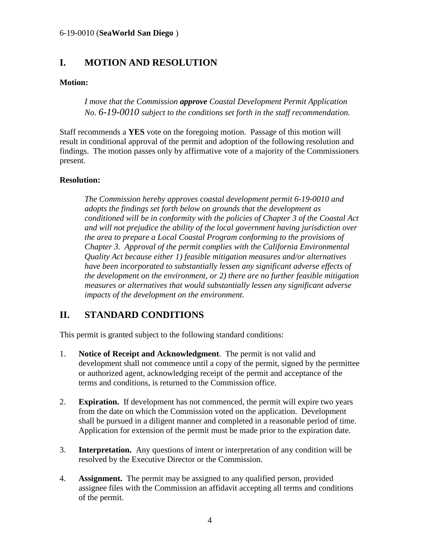# <span id="page-3-0"></span>**I. MOTION AND RESOLUTION**

### **Motion:**

*I move that the Commission approve Coastal Development Permit Application No. 6-19-0010 subject to the conditions set forth in the staff recommendation.* 

Staff recommends a **YES** vote on the foregoing motion. Passage of this motion will result in conditional approval of the permit and adoption of the following resolution and findings. The motion passes only by affirmative vote of a majority of the Commissioners present.

### **Resolution:**

*The Commission hereby approves coastal development permit 6-19-0010 and adopts the findings set forth below on grounds that the development as conditioned will be in conformity with the policies of Chapter 3 of the Coastal Act and will not prejudice the ability of the local government having jurisdiction over the area to prepare a Local Coastal Program conforming to the provisions of Chapter 3. Approval of the permit complies with the California Environmental Quality Act because either 1) feasible mitigation measures and/or alternatives have been incorporated to substantially lessen any significant adverse effects of the development on the environment, or 2) there are no further feasible mitigation measures or alternatives that would substantially lessen any significant adverse impacts of the development on the environment.* 

# <span id="page-3-1"></span>**II. STANDARD CONDITIONS**

This permit is granted subject to the following standard conditions:

- 1. **Notice of Receipt and Acknowledgment**. The permit is not valid and development shall not commence until a copy of the permit, signed by the permittee or authorized agent, acknowledging receipt of the permit and acceptance of the terms and conditions, is returned to the Commission office.
- 2. **Expiration.** If development has not commenced, the permit will expire two years from the date on which the Commission voted on the application. Development shall be pursued in a diligent manner and completed in a reasonable period of time. Application for extension of the permit must be made prior to the expiration date.
- 3. **Interpretation.** Any questions of intent or interpretation of any condition will be resolved by the Executive Director or the Commission.
- 4. **Assignment.** The permit may be assigned to any qualified person, provided assignee files with the Commission an affidavit accepting all terms and conditions of the permit.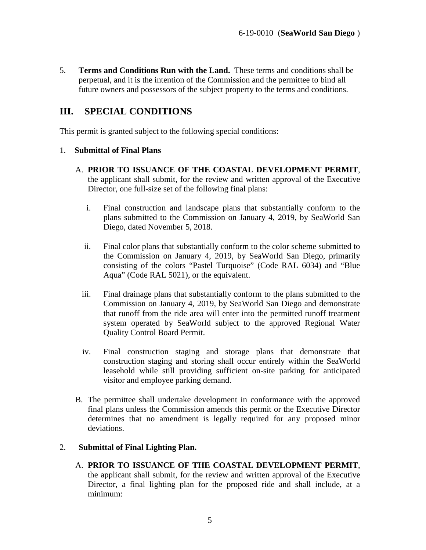5. **Terms and Conditions Run with the Land.** These terms and conditions shall be perpetual, and it is the intention of the Commission and the permittee to bind all future owners and possessors of the subject property to the terms and conditions.

## <span id="page-4-0"></span>**III. SPECIAL CONDITIONS**

This permit is granted subject to the following special conditions:

#### 1. **Submittal of Final Plans**

- A. **PRIOR TO ISSUANCE OF THE COASTAL DEVELOPMENT PERMIT**, the applicant shall submit, for the review and written approval of the Executive Director, one full-size set of the following final plans:
	- i. Final construction and landscape plans that substantially conform to the plans submitted to the Commission on January 4, 2019, by SeaWorld San Diego, dated November 5, 2018.
	- ii. Final color plans that substantially conform to the color scheme submitted to the Commission on January 4, 2019, by SeaWorld San Diego, primarily consisting of the colors "Pastel Turquoise" (Code RAL 6034) and "Blue Aqua" (Code RAL 5021), or the equivalent.
	- iii. Final drainage plans that substantially conform to the plans submitted to the Commission on January 4, 2019, by SeaWorld San Diego and demonstrate that runoff from the ride area will enter into the permitted runoff treatment system operated by SeaWorld subject to the approved Regional Water Quality Control Board Permit.
	- iv. Final construction staging and storage plans that demonstrate that construction staging and storing shall occur entirely within the SeaWorld leasehold while still providing sufficient on-site parking for anticipated visitor and employee parking demand.
- B. The permittee shall undertake development in conformance with the approved final plans unless the Commission amends this permit or the Executive Director determines that no amendment is legally required for any proposed minor deviations.

### 2. **Submittal of Final Lighting Plan.**

A. **PRIOR TO ISSUANCE OF THE COASTAL DEVELOPMENT PERMIT**, the applicant shall submit, for the review and written approval of the Executive Director, a final lighting plan for the proposed ride and shall include, at a minimum: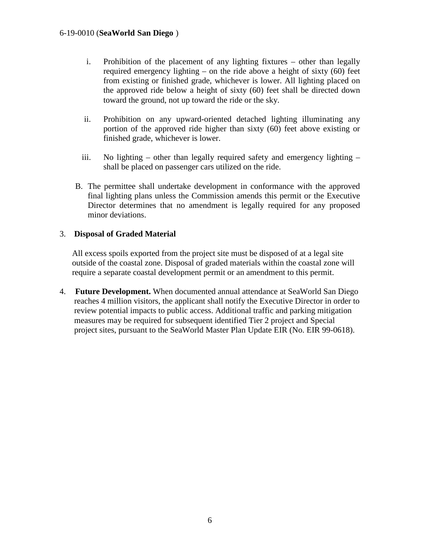- i. Prohibition of the placement of any lighting fixtures other than legally required emergency lighting – on the ride above a height of sixty (60) feet from existing or finished grade, whichever is lower. All lighting placed on the approved ride below a height of sixty (60) feet shall be directed down toward the ground, not up toward the ride or the sky.
- ii. Prohibition on any upward-oriented detached lighting illuminating any portion of the approved ride higher than sixty (60) feet above existing or finished grade, whichever is lower.
- iii. No lighting other than legally required safety and emergency lighting shall be placed on passenger cars utilized on the ride.
- B. The permittee shall undertake development in conformance with the approved final lighting plans unless the Commission amends this permit or the Executive Director determines that no amendment is legally required for any proposed minor deviations.

#### 3. **Disposal of Graded Material**

All excess spoils exported from the project site must be disposed of at a legal site outside of the coastal zone. Disposal of graded materials within the coastal zone will require a separate coastal development permit or an amendment to this permit.

4. **Future Development.** When documented annual attendance at SeaWorld San Diego reaches 4 million visitors, the applicant shall notify the Executive Director in order to review potential impacts to public access. Additional traffic and parking mitigation measures may be required for subsequent identified Tier 2 project and Special project sites, pursuant to the SeaWorld Master Plan Update EIR (No. EIR 99-0618).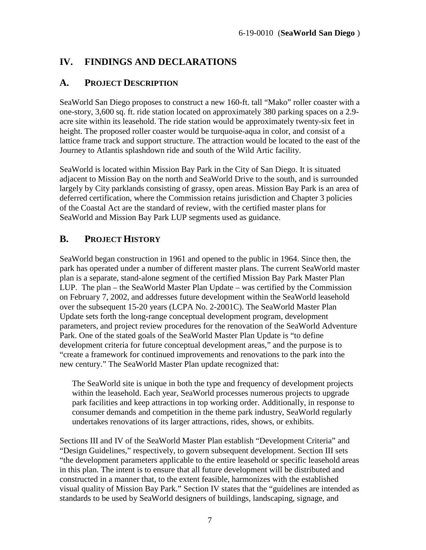# <span id="page-6-0"></span>**IV. FINDINGS AND DECLARATIONS**

### <span id="page-6-1"></span>**A. PROJECT DESCRIPTION**

SeaWorld San Diego proposes to construct a new 160-ft. tall "Mako" roller coaster with a one-story, 3,600 sq. ft. ride station located on approximately 380 parking spaces on a 2.9 acre site within its leasehold. The ride station would be approximately twenty-six feet in height. The proposed roller coaster would be turquoise-aqua in color, and consist of a lattice frame track and support structure. The attraction would be located to the east of the Journey to Atlantis splashdown ride and south of the Wild Artic facility.

SeaWorld is located within Mission Bay Park in the City of San Diego. It is situated adjacent to Mission Bay on the north and SeaWorld Drive to the south, and is surrounded largely by City parklands consisting of grassy, open areas. Mission Bay Park is an area of deferred certification, where the Commission retains jurisdiction and Chapter 3 policies of the Coastal Act are the standard of review, with the certified master plans for SeaWorld and Mission Bay Park LUP segments used as guidance.

### <span id="page-6-2"></span>**B. PROJECT HISTORY**

SeaWorld began construction in 1961 and opened to the public in 1964. Since then, the park has operated under a number of different master plans. The current SeaWorld master plan is a separate, stand-alone segment of the certified Mission Bay Park Master Plan LUP. The plan – the SeaWorld Master Plan Update – was certified by the Commission on February 7, 2002, and addresses future development within the SeaWorld leasehold over the subsequent 15-20 years (LCPA No. 2-2001C). The SeaWorld Master Plan Update sets forth the long-range conceptual development program, development parameters, and project review procedures for the renovation of the SeaWorld Adventure Park. One of the stated goals of the SeaWorld Master Plan Update is "to define development criteria for future conceptual development areas," and the purpose is to "create a framework for continued improvements and renovations to the park into the new century." The SeaWorld Master Plan update recognized that:

The SeaWorld site is unique in both the type and frequency of development projects within the leasehold. Each year, SeaWorld processes numerous projects to upgrade park facilities and keep attractions in top working order. Additionally, in response to consumer demands and competition in the theme park industry, SeaWorld regularly undertakes renovations of its larger attractions, rides, shows, or exhibits.

Sections III and IV of the SeaWorld Master Plan establish "Development Criteria" and "Design Guidelines," respectively, to govern subsequent development. Section III sets "the development parameters applicable to the entire leasehold or specific leasehold areas in this plan. The intent is to ensure that all future development will be distributed and constructed in a manner that, to the extent feasible, harmonizes with the established visual quality of Mission Bay Park." Section IV states that the "guidelines are intended as standards to be used by SeaWorld designers of buildings, landscaping, signage, and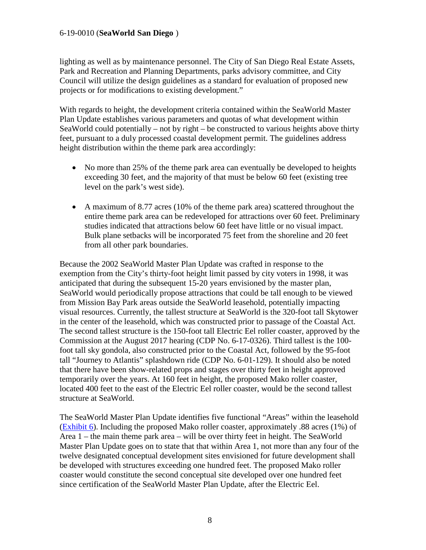lighting as well as by maintenance personnel. The City of San Diego Real Estate Assets, Park and Recreation and Planning Departments, parks advisory committee, and City Council will utilize the design guidelines as a standard for evaluation of proposed new projects or for modifications to existing development."

With regards to height, the development criteria contained within the SeaWorld Master Plan Update establishes various parameters and quotas of what development within SeaWorld could potentially – not by right – be constructed to various heights above thirty feet, pursuant to a duly processed coastal development permit. The guidelines address height distribution within the theme park area accordingly:

- No more than 25% of the theme park area can eventually be developed to heights exceeding 30 feet, and the majority of that must be below 60 feet (existing tree level on the park's west side).
- A maximum of 8.77 acres (10% of the theme park area) scattered throughout the entire theme park area can be redeveloped for attractions over 60 feet. Preliminary studies indicated that attractions below 60 feet have little or no visual impact. Bulk plane setbacks will be incorporated 75 feet from the shoreline and 20 feet from all other park boundaries.

Because the 2002 SeaWorld Master Plan Update was crafted in response to the exemption from the City's thirty-foot height limit passed by city voters in 1998, it was anticipated that during the subsequent 15-20 years envisioned by the master plan, SeaWorld would periodically propose attractions that could be tall enough to be viewed from Mission Bay Park areas outside the SeaWorld leasehold, potentially impacting visual resources. Currently, the tallest structure at SeaWorld is the 320-foot tall Skytower in the center of the leasehold, which was constructed prior to passage of the Coastal Act. The second tallest structure is the 150-foot tall Electric Eel roller coaster, approved by the Commission at the August 2017 hearing (CDP No. 6-17-0326). Third tallest is the 100 foot tall sky gondola, also constructed prior to the Coastal Act, followed by the 95-foot tall "Journey to Atlantis" splashdown ride (CDP No. 6-01-129). It should also be noted that there have been show-related props and stages over thirty feet in height approved temporarily over the years. At 160 feet in height, the proposed Mako roller coaster, located 400 feet to the east of the Electric Eel roller coaster, would be the second tallest structure at SeaWorld.

The SeaWorld Master Plan Update identifies five functional "Areas" within the leasehold [\(Exhibit 6\)](https://documents.coastal.ca.gov/reports/2019/7/w31a/w31a-7-2019-exhibits.pdf). Including the proposed Mako roller coaster, approximately .88 acres (1%) of Area 1 – the main theme park area – will be over thirty feet in height. The SeaWorld Master Plan Update goes on to state that that within Area 1, not more than any four of the twelve designated conceptual development sites envisioned for future development shall be developed with structures exceeding one hundred feet. The proposed Mako roller coaster would constitute the second conceptual site developed over one hundred feet since certification of the SeaWorld Master Plan Update, after the Electric Eel.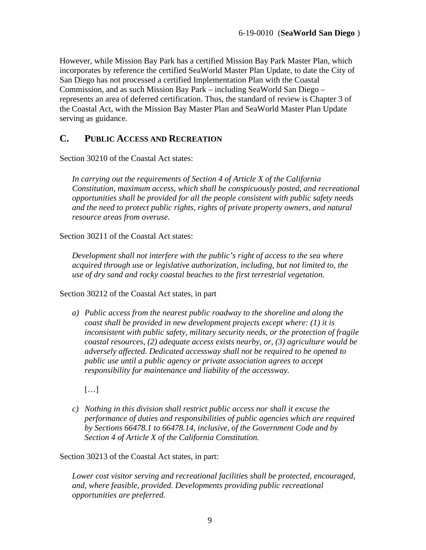However, while Mission Bay Park has a certified Mission Bay Park Master Plan, which incorporates by reference the certified SeaWorld Master Plan Update, to date the City of San Diego has not processed a certified Implementation Plan with the Coastal Commission, and as such Mission Bay Park – including SeaWorld San Diego – represents an area of deferred certification. Thus, the standard of review is Chapter 3 of the Coastal Act, with the Mission Bay Master Plan and SeaWorld Master Plan Update serving as guidance.

### <span id="page-8-0"></span>**C. PUBLIC ACCESS AND RECREATION**

Section 30210 of the Coastal Act states:

*In carrying out the requirements of Section 4 of Article X of the California Constitution, maximum access, which shall be conspicuously posted, and recreational opportunities shall be provided for all the people consistent with public safety needs and the need to protect public rights, rights of private property owners, and natural resource areas from overuse.*

Section 30211 of the Coastal Act states:

*Development shall not interfere with the public's right of access to the sea where acquired through use or legislative authorization, including, but not limited to, the use of dry sand and rocky coastal beaches to the first terrestrial vegetation.*

Section 30212 of the Coastal Act states, in part

*a) Public access from the nearest public roadway to the shoreline and along the coast shall be provided in new development projects except where: (1) it is inconsistent with public safety, military security needs, or the protection of fragile coastal resources, (2) adequate access exists nearby, or, (3) agriculture would be adversely affected. Dedicated accessway shall not be required to be opened to public use until a public agency or private association agrees to accept responsibility for maintenance and liability of the accessway.* 

[…]

*c) Nothing in this division shall restrict public access nor shall it excuse the performance of duties and responsibilities of public agencies which are required by Sections 66478.1 to 66478.14, inclusive, of the Government Code and by Section 4 of Article X of the California Constitution.* 

Section 30213 of the Coastal Act states, in part:

*Lower cost visitor serving and recreational facilities shall be protected, encouraged, and, where feasible, provided. Developments providing public recreational opportunities are preferred.*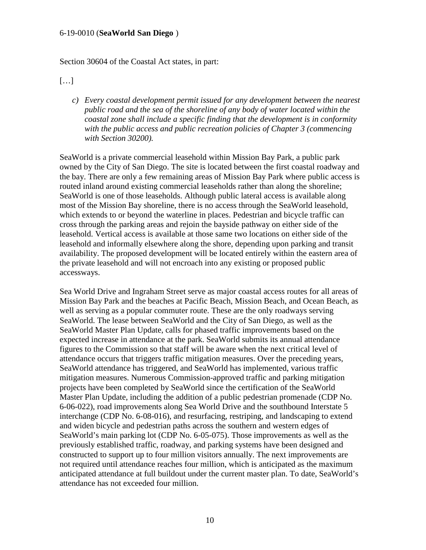Section 30604 of the Coastal Act states, in part:

[…]

*c) Every coastal development permit issued for any development between the nearest public road and the sea of the shoreline of any body of water located within the coastal zone shall include a specific finding that the development is in conformity with the public access and public recreation policies of Chapter 3 (commencing with Section 30200).* 

SeaWorld is a private commercial leasehold within Mission Bay Park, a public park owned by the City of San Diego. The site is located between the first coastal roadway and the bay. There are only a few remaining areas of Mission Bay Park where public access is routed inland around existing commercial leaseholds rather than along the shoreline; SeaWorld is one of those leaseholds. Although public lateral access is available along most of the Mission Bay shoreline, there is no access through the SeaWorld leasehold, which extends to or beyond the waterline in places. Pedestrian and bicycle traffic can cross through the parking areas and rejoin the bayside pathway on either side of the leasehold. Vertical access is available at those same two locations on either side of the leasehold and informally elsewhere along the shore, depending upon parking and transit availability. The proposed development will be located entirely within the eastern area of the private leasehold and will not encroach into any existing or proposed public accessways.

Sea World Drive and Ingraham Street serve as major coastal access routes for all areas of Mission Bay Park and the beaches at Pacific Beach, Mission Beach, and Ocean Beach, as well as serving as a popular commuter route. These are the only roadways serving SeaWorld. The lease between SeaWorld and the City of San Diego, as well as the SeaWorld Master Plan Update, calls for phased traffic improvements based on the expected increase in attendance at the park. SeaWorld submits its annual attendance figures to the Commission so that staff will be aware when the next critical level of attendance occurs that triggers traffic mitigation measures. Over the preceding years, SeaWorld attendance has triggered, and SeaWorld has implemented, various traffic mitigation measures. Numerous Commission-approved traffic and parking mitigation projects have been completed by SeaWorld since the certification of the SeaWorld Master Plan Update, including the addition of a public pedestrian promenade (CDP No. 6-06-022), road improvements along Sea World Drive and the southbound Interstate 5 interchange (CDP No. 6-08-016), and resurfacing, restriping, and landscaping to extend and widen bicycle and pedestrian paths across the southern and western edges of SeaWorld's main parking lot (CDP No. 6-05-075). Those improvements as well as the previously established traffic, roadway, and parking systems have been designed and constructed to support up to four million visitors annually. The next improvements are not required until attendance reaches four million, which is anticipated as the maximum anticipated attendance at full buildout under the current master plan. To date, SeaWorld's attendance has not exceeded four million.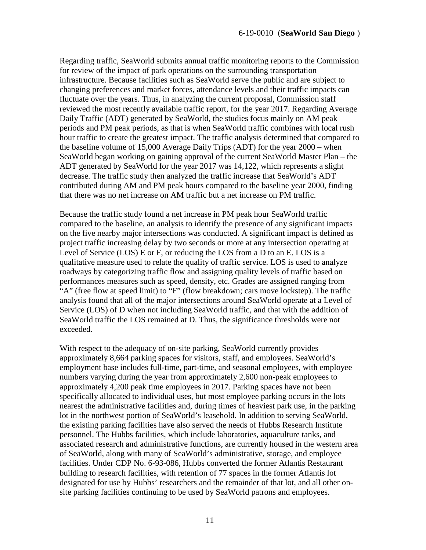Regarding traffic, SeaWorld submits annual traffic monitoring reports to the Commission for review of the impact of park operations on the surrounding transportation infrastructure. Because facilities such as SeaWorld serve the public and are subject to changing preferences and market forces, attendance levels and their traffic impacts can fluctuate over the years. Thus, in analyzing the current proposal, Commission staff reviewed the most recently available traffic report, for the year 2017. Regarding Average Daily Traffic (ADT) generated by SeaWorld, the studies focus mainly on AM peak periods and PM peak periods, as that is when SeaWorld traffic combines with local rush hour traffic to create the greatest impact. The traffic analysis determined that compared to the baseline volume of 15,000 Average Daily Trips (ADT) for the year 2000 – when SeaWorld began working on gaining approval of the current SeaWorld Master Plan – the ADT generated by SeaWorld for the year 2017 was 14,122, which represents a slight decrease. The traffic study then analyzed the traffic increase that SeaWorld's ADT contributed during AM and PM peak hours compared to the baseline year 2000, finding that there was no net increase on AM traffic but a net increase on PM traffic.

Because the traffic study found a net increase in PM peak hour SeaWorld traffic compared to the baseline, an analysis to identify the presence of any significant impacts on the five nearby major intersections was conducted. A significant impact is defined as project traffic increasing delay by two seconds or more at any intersection operating at Level of Service (LOS) E or F, or reducing the LOS from a D to an E. LOS is a qualitative measure used to relate the quality of traffic service. LOS is used to analyze roadways by categorizing traffic flow and assigning quality levels of traffic based on performances measures such as speed, density, etc. Grades are assigned ranging from "A" (free flow at speed limit) to "F" (flow breakdown; cars move lockstep). The traffic analysis found that all of the major intersections around SeaWorld operate at a Level of Service (LOS) of D when not including SeaWorld traffic, and that with the addition of SeaWorld traffic the LOS remained at D. Thus, the significance thresholds were not exceeded.

With respect to the adequacy of on-site parking, SeaWorld currently provides approximately 8,664 parking spaces for visitors, staff, and employees. SeaWorld's employment base includes full-time, part-time, and seasonal employees, with employee numbers varying during the year from approximately 2,600 non-peak employees to approximately 4,200 peak time employees in 2017. Parking spaces have not been specifically allocated to individual uses, but most employee parking occurs in the lots nearest the administrative facilities and, during times of heaviest park use, in the parking lot in the northwest portion of SeaWorld's leasehold. In addition to serving SeaWorld, the existing parking facilities have also served the needs of Hubbs Research Institute personnel. The Hubbs facilities, which include laboratories, aquaculture tanks, and associated research and administrative functions, are currently housed in the western area of SeaWorld, along with many of SeaWorld's administrative, storage, and employee facilities. Under CDP No. 6-93-086, Hubbs converted the former Atlantis Restaurant building to research facilities, with retention of 77 spaces in the former Atlantis lot designated for use by Hubbs' researchers and the remainder of that lot, and all other onsite parking facilities continuing to be used by SeaWorld patrons and employees.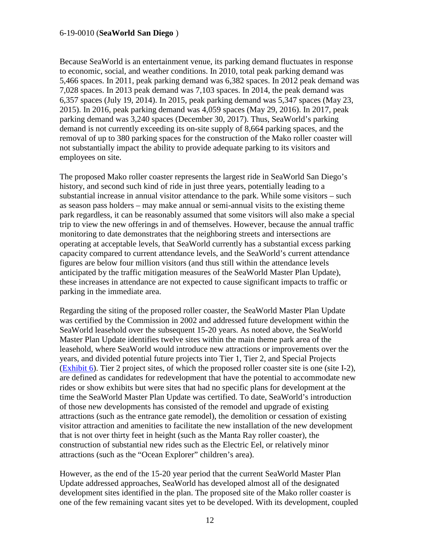Because SeaWorld is an entertainment venue, its parking demand fluctuates in response to economic, social, and weather conditions. In 2010, total peak parking demand was 5,466 spaces. In 2011, peak parking demand was 6,382 spaces. In 2012 peak demand was 7,028 spaces. In 2013 peak demand was 7,103 spaces. In 2014, the peak demand was 6,357 spaces (July 19, 2014). In 2015, peak parking demand was 5,347 spaces (May 23, 2015). In 2016, peak parking demand was 4,059 spaces (May 29, 2016). In 2017, peak parking demand was 3,240 spaces (December 30, 2017). Thus, SeaWorld's parking demand is not currently exceeding its on-site supply of 8,664 parking spaces, and the removal of up to 380 parking spaces for the construction of the Mako roller coaster will not substantially impact the ability to provide adequate parking to its visitors and employees on site.

The proposed Mako roller coaster represents the largest ride in SeaWorld San Diego's history, and second such kind of ride in just three years, potentially leading to a substantial increase in annual visitor attendance to the park. While some visitors – such as season pass holders – may make annual or semi-annual visits to the existing theme park regardless, it can be reasonably assumed that some visitors will also make a special trip to view the new offerings in and of themselves. However, because the annual traffic monitoring to date demonstrates that the neighboring streets and intersections are operating at acceptable levels, that SeaWorld currently has a substantial excess parking capacity compared to current attendance levels, and the SeaWorld's current attendance figures are below four million visitors (and thus still within the attendance levels anticipated by the traffic mitigation measures of the SeaWorld Master Plan Update), these increases in attendance are not expected to cause significant impacts to traffic or parking in the immediate area.

Regarding the siting of the proposed roller coaster, the SeaWorld Master Plan Update was certified by the Commission in 2002 and addressed future development within the SeaWorld leasehold over the subsequent 15-20 years. As noted above, the SeaWorld Master Plan Update identifies twelve sites within the main theme park area of the leasehold, where SeaWorld would introduce new attractions or improvements over the years, and divided potential future projects into Tier 1, Tier 2, and Special Projects [\(Exhibit 6\)](https://documents.coastal.ca.gov/reports/2019/7/w31a/w31a-7-2019-exhibits.pdf). Tier 2 project sites, of which the proposed roller coaster site is one (site I-2), are defined as candidates for redevelopment that have the potential to accommodate new rides or show exhibits but were sites that had no specific plans for development at the time the SeaWorld Master Plan Update was certified. To date, SeaWorld's introduction of those new developments has consisted of the remodel and upgrade of existing attractions (such as the entrance gate remodel), the demolition or cessation of existing visitor attraction and amenities to facilitate the new installation of the new development that is not over thirty feet in height (such as the Manta Ray roller coaster), the construction of substantial new rides such as the Electric Eel, or relatively minor attractions (such as the "Ocean Explorer" children's area).

However, as the end of the 15-20 year period that the current SeaWorld Master Plan Update addressed approaches, SeaWorld has developed almost all of the designated development sites identified in the plan. The proposed site of the Mako roller coaster is one of the few remaining vacant sites yet to be developed. With its development, coupled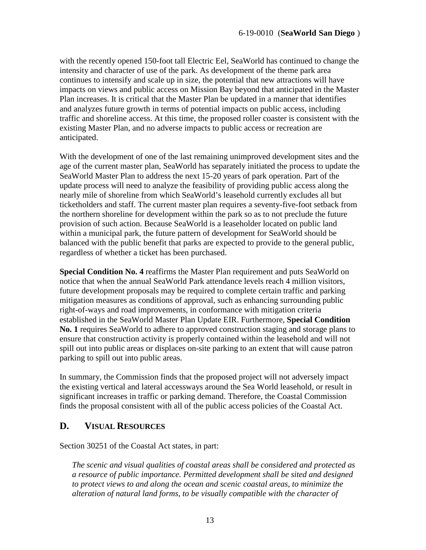with the recently opened 150-foot tall Electric Eel, SeaWorld has continued to change the intensity and character of use of the park. As development of the theme park area continues to intensify and scale up in size, the potential that new attractions will have impacts on views and public access on Mission Bay beyond that anticipated in the Master Plan increases. It is critical that the Master Plan be updated in a manner that identifies and analyzes future growth in terms of potential impacts on public access, including traffic and shoreline access. At this time, the proposed roller coaster is consistent with the existing Master Plan, and no adverse impacts to public access or recreation are anticipated.

With the development of one of the last remaining unimproved development sites and the age of the current master plan, SeaWorld has separately initiated the process to update the SeaWorld Master Plan to address the next 15-20 years of park operation. Part of the update process will need to analyze the feasibility of providing public access along the nearly mile of shoreline from which SeaWorld's leasehold currently excludes all but ticketholders and staff. The current master plan requires a seventy-five-foot setback from the northern shoreline for development within the park so as to not preclude the future provision of such action. Because SeaWorld is a leaseholder located on public land within a municipal park, the future pattern of development for SeaWorld should be balanced with the public benefit that parks are expected to provide to the general public, regardless of whether a ticket has been purchased.

**Special Condition No. 4** reaffirms the Master Plan requirement and puts SeaWorld on notice that when the annual SeaWorld Park attendance levels reach 4 million visitors, future development proposals may be required to complete certain traffic and parking mitigation measures as conditions of approval, such as enhancing surrounding public right-of-ways and road improvements, in conformance with mitigation criteria established in the SeaWorld Master Plan Update EIR. Furthermore, **Special Condition No. 1** requires SeaWorld to adhere to approved construction staging and storage plans to ensure that construction activity is properly contained within the leasehold and will not spill out into public areas or displaces on-site parking to an extent that will cause patron parking to spill out into public areas.

In summary, the Commission finds that the proposed project will not adversely impact the existing vertical and lateral accessways around the Sea World leasehold, or result in significant increases in traffic or parking demand. Therefore, the Coastal Commission finds the proposal consistent with all of the public access policies of the Coastal Act.

### <span id="page-12-0"></span>**D. VISUAL RESOURCES**

Section 30251 of the Coastal Act states, in part:

*The scenic and visual qualities of coastal areas shall be considered and protected as a resource of public importance. Permitted development shall be sited and designed to protect views to and along the ocean and scenic coastal areas, to minimize the alteration of natural land forms, to be visually compatible with the character of*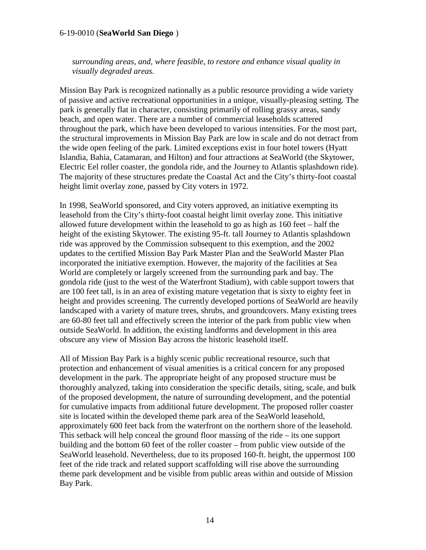*surrounding areas, and, where feasible, to restore and enhance visual quality in visually degraded areas.* 

Mission Bay Park is recognized nationally as a public resource providing a wide variety of passive and active recreational opportunities in a unique, visually-pleasing setting. The park is generally flat in character, consisting primarily of rolling grassy areas, sandy beach, and open water. There are a number of commercial leaseholds scattered throughout the park, which have been developed to various intensities. For the most part, the structural improvements in Mission Bay Park are low in scale and do not detract from the wide open feeling of the park. Limited exceptions exist in four hotel towers (Hyatt Islandia, Bahia, Catamaran, and Hilton) and four attractions at SeaWorld (the Skytower, Electric Eel roller coaster, the gondola ride, and the Journey to Atlantis splashdown ride). The majority of these structures predate the Coastal Act and the City's thirty-foot coastal height limit overlay zone, passed by City voters in 1972.

In 1998, SeaWorld sponsored, and City voters approved, an initiative exempting its leasehold from the City's thirty-foot coastal height limit overlay zone. This initiative allowed future development within the leasehold to go as high as 160 feet – half the height of the existing Skytower. The existing 95-ft. tall Journey to Atlantis splashdown ride was approved by the Commission subsequent to this exemption, and the 2002 updates to the certified Mission Bay Park Master Plan and the SeaWorld Master Plan incorporated the initiative exemption. However, the majority of the facilities at Sea World are completely or largely screened from the surrounding park and bay. The gondola ride (just to the west of the Waterfront Stadium), with cable support towers that are 100 feet tall, is in an area of existing mature vegetation that is sixty to eighty feet in height and provides screening. The currently developed portions of SeaWorld are heavily landscaped with a variety of mature trees, shrubs, and groundcovers. Many existing trees are 60-80 feet tall and effectively screen the interior of the park from public view when outside SeaWorld. In addition, the existing landforms and development in this area obscure any view of Mission Bay across the historic leasehold itself.

All of Mission Bay Park is a highly scenic public recreational resource, such that protection and enhancement of visual amenities is a critical concern for any proposed development in the park. The appropriate height of any proposed structure must be thoroughly analyzed, taking into consideration the specific details, siting, scale, and bulk of the proposed development, the nature of surrounding development, and the potential for cumulative impacts from additional future development. The proposed roller coaster site is located within the developed theme park area of the SeaWorld leasehold, approximately 600 feet back from the waterfront on the northern shore of the leasehold. This setback will help conceal the ground floor massing of the ride – its one support building and the bottom 60 feet of the roller coaster – from public view outside of the SeaWorld leasehold. Nevertheless, due to its proposed 160-ft. height, the uppermost 100 feet of the ride track and related support scaffolding will rise above the surrounding theme park development and be visible from public areas within and outside of Mission Bay Park.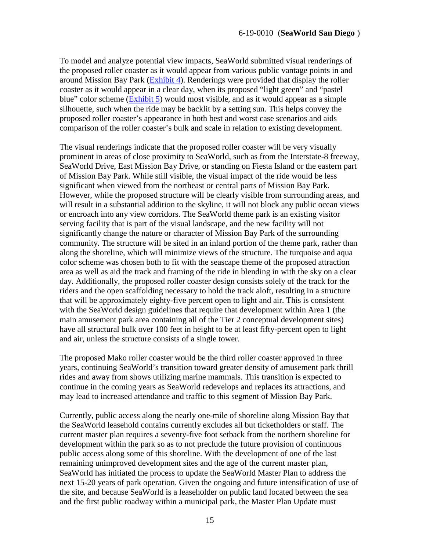To model and analyze potential view impacts, SeaWorld submitted visual renderings of the proposed roller coaster as it would appear from various public vantage points in and around Mission Bay Park [\(Exhibit 4\)](https://documents.coastal.ca.gov/reports/2019/7/w31a/w31a-7-2019-exhibits.pdf). Renderings were provided that display the roller coaster as it would appear in a clear day, when its proposed "light green" and "pastel blue" color scheme [\(Exhibit 5\)](https://documents.coastal.ca.gov/reports/2019/7/w31a/w31a-7-2019-exhibits.pdf) would most visible, and as it would appear as a simple silhouette, such when the ride may be backlit by a setting sun. This helps convey the proposed roller coaster's appearance in both best and worst case scenarios and aids comparison of the roller coaster's bulk and scale in relation to existing development.

The visual renderings indicate that the proposed roller coaster will be very visually prominent in areas of close proximity to SeaWorld, such as from the Interstate-8 freeway, SeaWorld Drive, East Mission Bay Drive, or standing on Fiesta Island or the eastern part of Mission Bay Park. While still visible, the visual impact of the ride would be less significant when viewed from the northeast or central parts of Mission Bay Park. However, while the proposed structure will be clearly visible from surrounding areas, and will result in a substantial addition to the skyline, it will not block any public ocean views or encroach into any view corridors. The SeaWorld theme park is an existing visitor serving facility that is part of the visual landscape, and the new facility will not significantly change the nature or character of Mission Bay Park of the surrounding community. The structure will be sited in an inland portion of the theme park, rather than along the shoreline, which will minimize views of the structure. The turquoise and aqua color scheme was chosen both to fit with the seascape theme of the proposed attraction area as well as aid the track and framing of the ride in blending in with the sky on a clear day. Additionally, the proposed roller coaster design consists solely of the track for the riders and the open scaffolding necessary to hold the track aloft, resulting in a structure that will be approximately eighty-five percent open to light and air. This is consistent with the SeaWorld design guidelines that require that development within Area 1 (the main amusement park area containing all of the Tier 2 conceptual development sites) have all structural bulk over 100 feet in height to be at least fifty-percent open to light and air, unless the structure consists of a single tower.

The proposed Mako roller coaster would be the third roller coaster approved in three years, continuing SeaWorld's transition toward greater density of amusement park thrill rides and away from shows utilizing marine mammals. This transition is expected to continue in the coming years as SeaWorld redevelops and replaces its attractions, and may lead to increased attendance and traffic to this segment of Mission Bay Park.

Currently, public access along the nearly one-mile of shoreline along Mission Bay that the SeaWorld leasehold contains currently excludes all but ticketholders or staff. The current master plan requires a seventy-five foot setback from the northern shoreline for development within the park so as to not preclude the future provision of continuous public access along some of this shoreline. With the development of one of the last remaining unimproved development sites and the age of the current master plan, SeaWorld has initiated the process to update the SeaWorld Master Plan to address the next 15-20 years of park operation. Given the ongoing and future intensification of use of the site, and because SeaWorld is a leaseholder on public land located between the sea and the first public roadway within a municipal park, the Master Plan Update must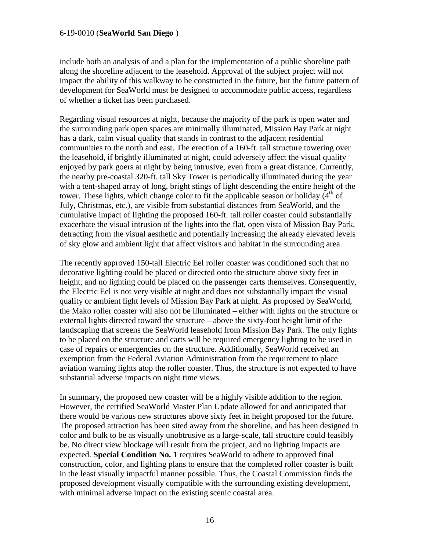include both an analysis of and a plan for the implementation of a public shoreline path along the shoreline adjacent to the leasehold. Approval of the subject project will not impact the ability of this walkway to be constructed in the future, but the future pattern of development for SeaWorld must be designed to accommodate public access, regardless of whether a ticket has been purchased.

Regarding visual resources at night, because the majority of the park is open water and the surrounding park open spaces are minimally illuminated, Mission Bay Park at night has a dark, calm visual quality that stands in contrast to the adjacent residential communities to the north and east. The erection of a 160-ft. tall structure towering over the leasehold, if brightly illuminated at night, could adversely affect the visual quality enjoyed by park goers at night by being intrusive, even from a great distance. Currently, the nearby pre-coastal 320-ft. tall Sky Tower is periodically illuminated during the year with a tent-shaped array of long, bright stings of light descending the entire height of the tower. These lights, which change color to fit the applicable season or holiday  $(4<sup>th</sup>$  of July, Christmas, etc.), are visible from substantial distances from SeaWorld, and the cumulative impact of lighting the proposed 160-ft. tall roller coaster could substantially exacerbate the visual intrusion of the lights into the flat, open vista of Mission Bay Park, detracting from the visual aesthetic and potentially increasing the already elevated levels of sky glow and ambient light that affect visitors and habitat in the surrounding area.

The recently approved 150-tall Electric Eel roller coaster was conditioned such that no decorative lighting could be placed or directed onto the structure above sixty feet in height, and no lighting could be placed on the passenger carts themselves. Consequently, the Electric Eel is not very visible at night and does not substantially impact the visual quality or ambient light levels of Mission Bay Park at night. As proposed by SeaWorld, the Mako roller coaster will also not be illuminated – either with lights on the structure or external lights directed toward the structure – above the sixty-foot height limit of the landscaping that screens the SeaWorld leasehold from Mission Bay Park. The only lights to be placed on the structure and carts will be required emergency lighting to be used in case of repairs or emergencies on the structure. Additionally, SeaWorld received an exemption from the Federal Aviation Administration from the requirement to place aviation warning lights atop the roller coaster. Thus, the structure is not expected to have substantial adverse impacts on night time views.

In summary, the proposed new coaster will be a highly visible addition to the region. However, the certified SeaWorld Master Plan Update allowed for and anticipated that there would be various new structures above sixty feet in height proposed for the future. The proposed attraction has been sited away from the shoreline, and has been designed in color and bulk to be as visually unobtrusive as a large-scale, tall structure could feasibly be. No direct view blockage will result from the project, and no lighting impacts are expected. **Special Condition No. 1** requires SeaWorld to adhere to approved final construction, color, and lighting plans to ensure that the completed roller coaster is built in the least visually impactful manner possible. Thus, the Coastal Commission finds the proposed development visually compatible with the surrounding existing development, with minimal adverse impact on the existing scenic coastal area.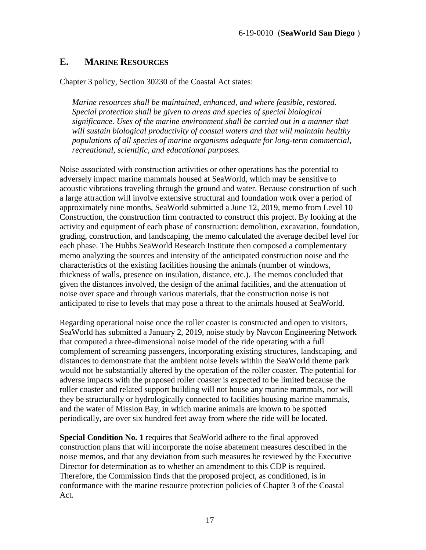### <span id="page-16-0"></span>**E. MARINE RESOURCES**

Chapter 3 policy, Section 30230 of the Coastal Act states:

*Marine resources shall be maintained, enhanced, and where feasible, restored. Special protection shall be given to areas and species of special biological significance. Uses of the marine environment shall be carried out in a manner that will sustain biological productivity of coastal waters and that will maintain healthy populations of all species of marine organisms adequate for long-term commercial, recreational, scientific, and educational purposes.* 

Noise associated with construction activities or other operations has the potential to adversely impact marine mammals housed at SeaWorld, which may be sensitive to acoustic vibrations traveling through the ground and water. Because construction of such a large attraction will involve extensive structural and foundation work over a period of approximately nine months, SeaWorld submitted a June 12, 2019, memo from Level 10 Construction, the construction firm contracted to construct this project. By looking at the activity and equipment of each phase of construction: demolition, excavation, foundation, grading, construction, and landscaping, the memo calculated the average decibel level for each phase. The Hubbs SeaWorld Research Institute then composed a complementary memo analyzing the sources and intensity of the anticipated construction noise and the characteristics of the existing facilities housing the animals (number of windows, thickness of walls, presence on insulation, distance, etc.). The memos concluded that given the distances involved, the design of the animal facilities, and the attenuation of noise over space and through various materials, that the construction noise is not anticipated to rise to levels that may pose a threat to the animals housed at SeaWorld.

Regarding operational noise once the roller coaster is constructed and open to visitors, SeaWorld has submitted a January 2, 2019, noise study by Navcon Engineering Network that computed a three-dimensional noise model of the ride operating with a full complement of screaming passengers, incorporating existing structures, landscaping, and distances to demonstrate that the ambient noise levels within the SeaWorld theme park would not be substantially altered by the operation of the roller coaster. The potential for adverse impacts with the proposed roller coaster is expected to be limited because the roller coaster and related support building will not house any marine mammals, nor will they be structurally or hydrologically connected to facilities housing marine mammals, and the water of Mission Bay, in which marine animals are known to be spotted periodically, are over six hundred feet away from where the ride will be located.

**Special Condition No. 1** requires that SeaWorld adhere to the final approved construction plans that will incorporate the noise abatement measures described in the noise memos, and that any deviation from such measures be reviewed by the Executive Director for determination as to whether an amendment to this CDP is required. Therefore, the Commission finds that the proposed project, as conditioned, is in conformance with the marine resource protection policies of Chapter 3 of the Coastal Act.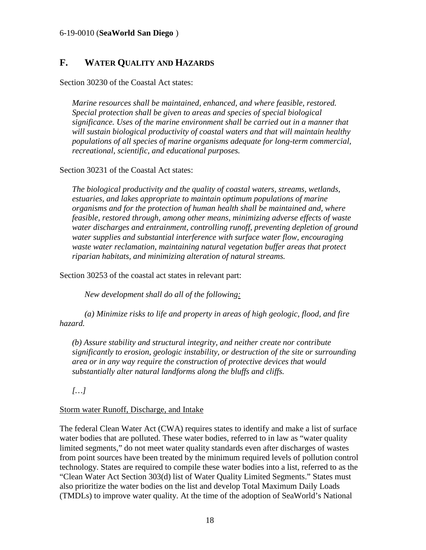### <span id="page-17-0"></span>**F. WATER QUALITY AND HAZARDS**

Section 30230 of the Coastal Act states:

*Marine resources shall be maintained, enhanced, and where feasible, restored. Special protection shall be given to areas and species of special biological significance. Uses of the marine environment shall be carried out in a manner that will sustain biological productivity of coastal waters and that will maintain healthy populations of all species of marine organisms adequate for long-term commercial, recreational, scientific, and educational purposes.* 

Section 30231 of the Coastal Act states:

*The biological productivity and the quality of coastal waters, streams, wetlands, estuaries, and lakes appropriate to maintain optimum populations of marine organisms and for the protection of human health shall be maintained and, where feasible, restored through, among other means, minimizing adverse effects of waste water discharges and entrainment, controlling runoff, preventing depletion of ground water supplies and substantial interference with surface water flow, encouraging waste water reclamation, maintaining natural vegetation buffer areas that protect riparian habitats, and minimizing alteration of natural streams.* 

Section 30253 of the coastal act states in relevant part:

*New development shall do all of the following:* 

 *(a) Minimize risks to life and property in areas of high geologic, flood, and fire hazard.* 

*(b) Assure stability and structural integrity, and neither create nor contribute significantly to erosion, geologic instability, or destruction of the site or surrounding area or in any way require the construction of protective devices that would substantially alter natural landforms along the bluffs and cliffs.*

*[…]*

#### Storm water Runoff, Discharge, and Intake

The federal Clean Water Act (CWA) requires states to identify and make a list of surface water bodies that are polluted. These water bodies, referred to in law as "water quality limited segments," do not meet water quality standards even after discharges of wastes from point sources have been treated by the minimum required levels of pollution control technology. States are required to compile these water bodies into a list, referred to as the "Clean Water Act Section 303(d) list of Water Quality Limited Segments." States must also prioritize the water bodies on the list and develop Total Maximum Daily Loads (TMDLs) to improve water quality. At the time of the adoption of SeaWorld's National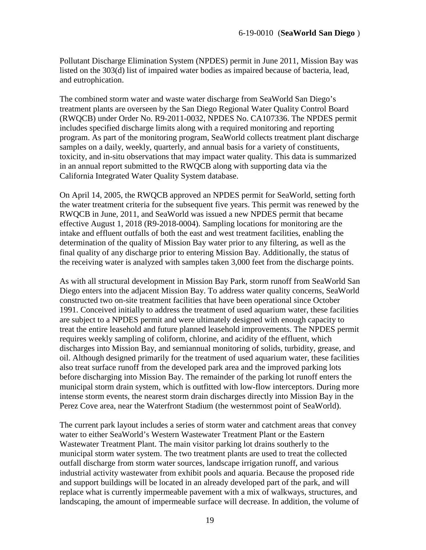Pollutant Discharge Elimination System (NPDES) permit in June 2011, Mission Bay was listed on the 303(d) list of impaired water bodies as impaired because of bacteria, lead, and eutrophication.

The combined storm water and waste water discharge from SeaWorld San Diego's treatment plants are overseen by the San Diego Regional Water Quality Control Board (RWQCB) under Order No. R9-2011-0032, NPDES No. CA107336. The NPDES permit includes specified discharge limits along with a required monitoring and reporting program. As part of the monitoring program, SeaWorld collects treatment plant discharge samples on a daily, weekly, quarterly, and annual basis for a variety of constituents, toxicity, and in-situ observations that may impact water quality. This data is summarized in an annual report submitted to the RWQCB along with supporting data via the California Integrated Water Quality System database.

On April 14, 2005, the RWQCB approved an NPDES permit for SeaWorld, setting forth the water treatment criteria for the subsequent five years. This permit was renewed by the RWQCB in June, 2011, and SeaWorld was issued a new NPDES permit that became effective August 1, 2018 (R9-2018-0004). Sampling locations for monitoring are the intake and effluent outfalls of both the east and west treatment facilities, enabling the determination of the quality of Mission Bay water prior to any filtering, as well as the final quality of any discharge prior to entering Mission Bay. Additionally, the status of the receiving water is analyzed with samples taken 3,000 feet from the discharge points.

As with all structural development in Mission Bay Park, storm runoff from SeaWorld San Diego enters into the adjacent Mission Bay. To address water quality concerns, SeaWorld constructed two on-site treatment facilities that have been operational since October 1991. Conceived initially to address the treatment of used aquarium water, these facilities are subject to a NPDES permit and were ultimately designed with enough capacity to treat the entire leasehold and future planned leasehold improvements. The NPDES permit requires weekly sampling of coliform, chlorine, and acidity of the effluent, which discharges into Mission Bay, and semiannual monitoring of solids, turbidity, grease, and oil. Although designed primarily for the treatment of used aquarium water, these facilities also treat surface runoff from the developed park area and the improved parking lots before discharging into Mission Bay. The remainder of the parking lot runoff enters the municipal storm drain system, which is outfitted with low-flow interceptors. During more intense storm events, the nearest storm drain discharges directly into Mission Bay in the Perez Cove area, near the Waterfront Stadium (the westernmost point of SeaWorld).

The current park layout includes a series of storm water and catchment areas that convey water to either SeaWorld's Western Wastewater Treatment Plant or the Eastern Wastewater Treatment Plant. The main visitor parking lot drains southerly to the municipal storm water system. The two treatment plants are used to treat the collected outfall discharge from storm water sources, landscape irrigation runoff, and various industrial activity wastewater from exhibit pools and aquaria. Because the proposed ride and support buildings will be located in an already developed part of the park, and will replace what is currently impermeable pavement with a mix of walkways, structures, and landscaping, the amount of impermeable surface will decrease. In addition, the volume of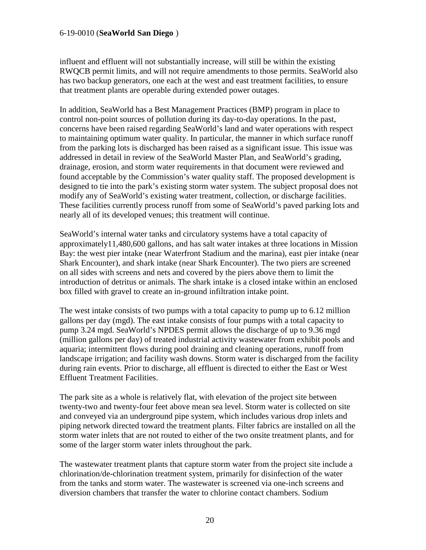influent and effluent will not substantially increase, will still be within the existing RWQCB permit limits, and will not require amendments to those permits. SeaWorld also has two backup generators, one each at the west and east treatment facilities, to ensure that treatment plants are operable during extended power outages.

In addition, SeaWorld has a Best Management Practices (BMP) program in place to control non-point sources of pollution during its day-to-day operations. In the past, concerns have been raised regarding SeaWorld's land and water operations with respect to maintaining optimum water quality. In particular, the manner in which surface runoff from the parking lots is discharged has been raised as a significant issue. This issue was addressed in detail in review of the SeaWorld Master Plan, and SeaWorld's grading, drainage, erosion, and storm water requirements in that document were reviewed and found acceptable by the Commission's water quality staff. The proposed development is designed to tie into the park's existing storm water system. The subject proposal does not modify any of SeaWorld's existing water treatment, collection, or discharge facilities. These facilities currently process runoff from some of SeaWorld's paved parking lots and nearly all of its developed venues; this treatment will continue.

SeaWorld's internal water tanks and circulatory systems have a total capacity of approximately11,480,600 gallons, and has salt water intakes at three locations in Mission Bay: the west pier intake (near Waterfront Stadium and the marina), east pier intake (near Shark Encounter), and shark intake (near Shark Encounter). The two piers are screened on all sides with screens and nets and covered by the piers above them to limit the introduction of detritus or animals. The shark intake is a closed intake within an enclosed box filled with gravel to create an in-ground infiltration intake point.

The west intake consists of two pumps with a total capacity to pump up to 6.12 million gallons per day (mgd). The east intake consists of four pumps with a total capacity to pump 3.24 mgd. SeaWorld's NPDES permit allows the discharge of up to 9.36 mgd (million gallons per day) of treated industrial activity wastewater from exhibit pools and aquaria; intermittent flows during pool draining and cleaning operations, runoff from landscape irrigation; and facility wash downs. Storm water is discharged from the facility during rain events. Prior to discharge, all effluent is directed to either the East or West Effluent Treatment Facilities.

The park site as a whole is relatively flat, with elevation of the project site between twenty-two and twenty-four feet above mean sea level. Storm water is collected on site and conveyed via an underground pipe system, which includes various drop inlets and piping network directed toward the treatment plants. Filter fabrics are installed on all the storm water inlets that are not routed to either of the two onsite treatment plants, and for some of the larger storm water inlets throughout the park.

The wastewater treatment plants that capture storm water from the project site include a chlorination/de-chlorination treatment system, primarily for disinfection of the water from the tanks and storm water. The wastewater is screened via one-inch screens and diversion chambers that transfer the water to chlorine contact chambers. Sodium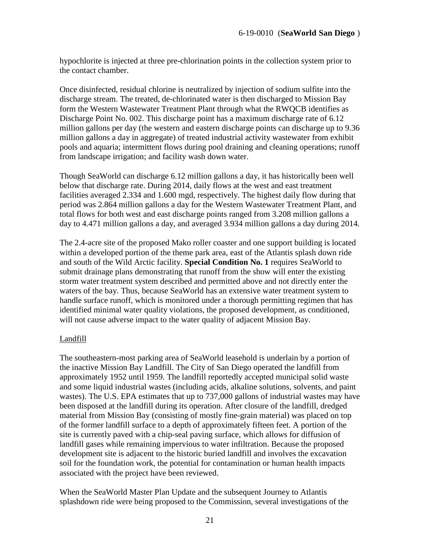hypochlorite is injected at three pre-chlorination points in the collection system prior to the contact chamber.

Once disinfected, residual chlorine is neutralized by injection of sodium sulfite into the discharge stream. The treated, de-chlorinated water is then discharged to Mission Bay form the Western Wastewater Treatment Plant through what the RWQCB identifies as Discharge Point No. 002. This discharge point has a maximum discharge rate of 6.12 million gallons per day (the western and eastern discharge points can discharge up to 9.36 million gallons a day in aggregate) of treated industrial activity wastewater from exhibit pools and aquaria; intermittent flows during pool draining and cleaning operations; runoff from landscape irrigation; and facility wash down water.

Though SeaWorld can discharge 6.12 million gallons a day, it has historically been well below that discharge rate. During 2014, daily flows at the west and east treatment facilities averaged 2.334 and 1.600 mgd, respectively. The highest daily flow during that period was 2.864 million gallons a day for the Western Wastewater Treatment Plant, and total flows for both west and east discharge points ranged from 3.208 million gallons a day to 4.471 million gallons a day, and averaged 3.934 million gallons a day during 2014.

The 2.4-acre site of the proposed Mako roller coaster and one support building is located within a developed portion of the theme park area, east of the Atlantis splash down ride and south of the Wild Arctic facility. **Special Condition No. 1** requires SeaWorld to submit drainage plans demonstrating that runoff from the show will enter the existing storm water treatment system described and permitted above and not directly enter the waters of the bay. Thus, because SeaWorld has an extensive water treatment system to handle surface runoff, which is monitored under a thorough permitting regimen that has identified minimal water quality violations, the proposed development, as conditioned, will not cause adverse impact to the water quality of adjacent Mission Bay.

### Landfill

The southeastern-most parking area of SeaWorld leasehold is underlain by a portion of the inactive Mission Bay Landfill. The City of San Diego operated the landfill from approximately 1952 until 1959. The landfill reportedly accepted municipal solid waste and some liquid industrial wastes (including acids, alkaline solutions, solvents, and paint wastes). The U.S. EPA estimates that up to 737,000 gallons of industrial wastes may have been disposed at the landfill during its operation. After closure of the landfill, dredged material from Mission Bay (consisting of mostly fine-grain material) was placed on top of the former landfill surface to a depth of approximately fifteen feet. A portion of the site is currently paved with a chip-seal paving surface, which allows for diffusion of landfill gases while remaining impervious to water infiltration. Because the proposed development site is adjacent to the historic buried landfill and involves the excavation soil for the foundation work, the potential for contamination or human health impacts associated with the project have been reviewed.

When the SeaWorld Master Plan Update and the subsequent Journey to Atlantis splashdown ride were being proposed to the Commission, several investigations of the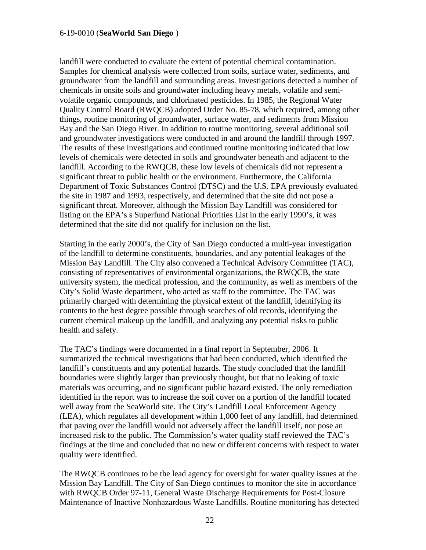landfill were conducted to evaluate the extent of potential chemical contamination. Samples for chemical analysis were collected from soils, surface water, sediments, and groundwater from the landfill and surrounding areas. Investigations detected a number of chemicals in onsite soils and groundwater including heavy metals, volatile and semivolatile organic compounds, and chlorinated pesticides. In 1985, the Regional Water Quality Control Board (RWQCB) adopted Order No. 85-78, which required, among other things, routine monitoring of groundwater, surface water, and sediments from Mission Bay and the San Diego River. In addition to routine monitoring, several additional soil and groundwater investigations were conducted in and around the landfill through 1997. The results of these investigations and continued routine monitoring indicated that low levels of chemicals were detected in soils and groundwater beneath and adjacent to the landfill. According to the RWQCB, these low levels of chemicals did not represent a significant threat to public health or the environment. Furthermore, the California Department of Toxic Substances Control (DTSC) and the U.S. EPA previously evaluated the site in 1987 and 1993, respectively, and determined that the site did not pose a significant threat. Moreover, although the Mission Bay Landfill was considered for listing on the EPA's s Superfund National Priorities List in the early 1990's, it was determined that the site did not qualify for inclusion on the list.

Starting in the early 2000's, the City of San Diego conducted a multi-year investigation of the landfill to determine constituents, boundaries, and any potential leakages of the Mission Bay Landfill. The City also convened a Technical Advisory Committee (TAC), consisting of representatives of environmental organizations, the RWQCB, the state university system, the medical profession, and the community, as well as members of the City's Solid Waste department, who acted as staff to the committee. The TAC was primarily charged with determining the physical extent of the landfill, identifying its contents to the best degree possible through searches of old records, identifying the current chemical makeup up the landfill, and analyzing any potential risks to public health and safety.

The TAC's findings were documented in a final report in September, 2006. It summarized the technical investigations that had been conducted, which identified the landfill's constituents and any potential hazards. The study concluded that the landfill boundaries were slightly larger than previously thought, but that no leaking of toxic materials was occurring, and no significant public hazard existed. The only remediation identified in the report was to increase the soil cover on a portion of the landfill located well away from the SeaWorld site. The City's Landfill Local Enforcement Agency (LEA), which regulates all development within 1,000 feet of any landfill, had determined that paving over the landfill would not adversely affect the landfill itself, nor pose an increased risk to the public. The Commission's water quality staff reviewed the TAC's findings at the time and concluded that no new or different concerns with respect to water quality were identified.

The RWQCB continues to be the lead agency for oversight for water quality issues at the Mission Bay Landfill. The City of San Diego continues to monitor the site in accordance with RWQCB Order 97-11, General Waste Discharge Requirements for Post-Closure Maintenance of Inactive Nonhazardous Waste Landfills. Routine monitoring has detected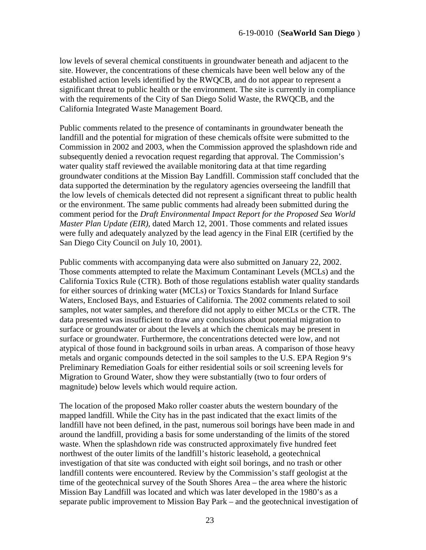low levels of several chemical constituents in groundwater beneath and adjacent to the site. However, the concentrations of these chemicals have been well below any of the established action levels identified by the RWQCB, and do not appear to represent a significant threat to public health or the environment. The site is currently in compliance with the requirements of the City of San Diego Solid Waste, the RWQCB, and the California Integrated Waste Management Board.

Public comments related to the presence of contaminants in groundwater beneath the landfill and the potential for migration of these chemicals offsite were submitted to the Commission in 2002 and 2003, when the Commission approved the splashdown ride and subsequently denied a revocation request regarding that approval. The Commission's water quality staff reviewed the available monitoring data at that time regarding groundwater conditions at the Mission Bay Landfill. Commission staff concluded that the data supported the determination by the regulatory agencies overseeing the landfill that the low levels of chemicals detected did not represent a significant threat to public health or the environment. The same public comments had already been submitted during the comment period for the *Draft Environmental Impact Report for the Proposed Sea World Master Plan Update (EIR),* dated March 12, 2001. Those comments and related issues were fully and adequately analyzed by the lead agency in the Final EIR (certified by the San Diego City Council on July 10, 2001).

Public comments with accompanying data were also submitted on January 22, 2002. Those comments attempted to relate the Maximum Contaminant Levels (MCLs) and the California Toxics Rule (CTR). Both of those regulations establish water quality standards for either sources of drinking water (MCLs) or Toxics Standards for Inland Surface Waters, Enclosed Bays, and Estuaries of California. The 2002 comments related to soil samples, not water samples, and therefore did not apply to either MCLs or the CTR. The data presented was insufficient to draw any conclusions about potential migration to surface or groundwater or about the levels at which the chemicals may be present in surface or groundwater. Furthermore, the concentrations detected were low, and not atypical of those found in background soils in urban areas. A comparison of those heavy metals and organic compounds detected in the soil samples to the U.S. EPA Region 9's Preliminary Remediation Goals for either residential soils or soil screening levels for Migration to Ground Water, show they were substantially (two to four orders of magnitude) below levels which would require action.

The location of the proposed Mako roller coaster abuts the western boundary of the mapped landfill. While the City has in the past indicated that the exact limits of the landfill have not been defined, in the past, numerous soil borings have been made in and around the landfill, providing a basis for some understanding of the limits of the stored waste. When the splashdown ride was constructed approximately five hundred feet northwest of the outer limits of the landfill's historic leasehold, a geotechnical investigation of that site was conducted with eight soil borings, and no trash or other landfill contents were encountered. Review by the Commission's staff geologist at the time of the geotechnical survey of the South Shores Area – the area where the historic Mission Bay Landfill was located and which was later developed in the 1980's as a separate public improvement to Mission Bay Park – and the geotechnical investigation of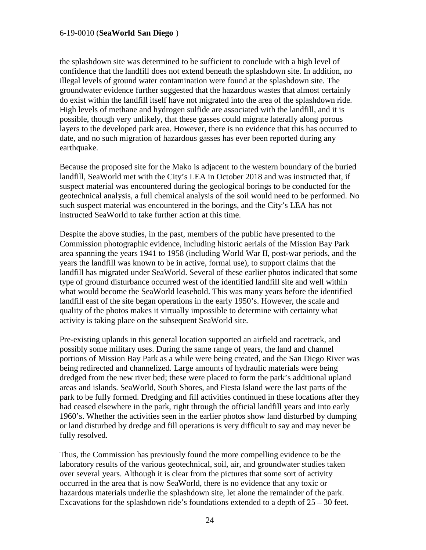the splashdown site was determined to be sufficient to conclude with a high level of confidence that the landfill does not extend beneath the splashdown site. In addition, no illegal levels of ground water contamination were found at the splashdown site. The groundwater evidence further suggested that the hazardous wastes that almost certainly do exist within the landfill itself have not migrated into the area of the splashdown ride. High levels of methane and hydrogen sulfide are associated with the landfill, and it is possible, though very unlikely, that these gasses could migrate laterally along porous layers to the developed park area. However, there is no evidence that this has occurred to date, and no such migration of hazardous gasses has ever been reported during any earthquake.

Because the proposed site for the Mako is adjacent to the western boundary of the buried landfill, SeaWorld met with the City's LEA in October 2018 and was instructed that, if suspect material was encountered during the geological borings to be conducted for the geotechnical analysis, a full chemical analysis of the soil would need to be performed. No such suspect material was encountered in the borings, and the City's LEA has not instructed SeaWorld to take further action at this time.

Despite the above studies, in the past, members of the public have presented to the Commission photographic evidence, including historic aerials of the Mission Bay Park area spanning the years 1941 to 1958 (including World War II, post-war periods, and the years the landfill was known to be in active, formal use), to support claims that the landfill has migrated under SeaWorld. Several of these earlier photos indicated that some type of ground disturbance occurred west of the identified landfill site and well within what would become the SeaWorld leasehold. This was many years before the identified landfill east of the site began operations in the early 1950's. However, the scale and quality of the photos makes it virtually impossible to determine with certainty what activity is taking place on the subsequent SeaWorld site.

Pre-existing uplands in this general location supported an airfield and racetrack, and possibly some military uses. During the same range of years, the land and channel portions of Mission Bay Park as a while were being created, and the San Diego River was being redirected and channelized. Large amounts of hydraulic materials were being dredged from the new river bed; these were placed to form the park's additional upland areas and islands. SeaWorld, South Shores, and Fiesta Island were the last parts of the park to be fully formed. Dredging and fill activities continued in these locations after they had ceased elsewhere in the park, right through the official landfill years and into early 1960's. Whether the activities seen in the earlier photos show land disturbed by dumping or land disturbed by dredge and fill operations is very difficult to say and may never be fully resolved.

Thus, the Commission has previously found the more compelling evidence to be the laboratory results of the various geotechnical, soil, air, and groundwater studies taken over several years. Although it is clear from the pictures that some sort of activity occurred in the area that is now SeaWorld, there is no evidence that any toxic or hazardous materials underlie the splashdown site, let alone the remainder of the park. Excavations for the splashdown ride's foundations extended to a depth of  $25 - 30$  feet.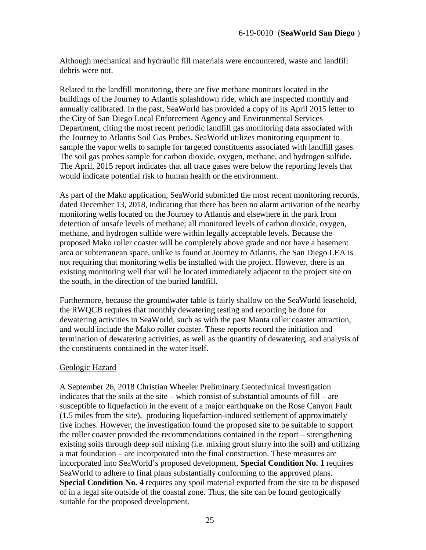Although mechanical and hydraulic fill materials were encountered, waste and landfill debris were not.

Related to the landfill monitoring, there are five methane monitors located in the buildings of the Journey to Atlantis splashdown ride, which are inspected monthly and annually calibrated. In the past, SeaWorld has provided a copy of its April 2015 letter to the City of San Diego Local Enforcement Agency and Environmental Services Department, citing the most recent periodic landfill gas monitoring data associated with the Journey to Atlantis Soil Gas Probes. SeaWorld utilizes monitoring equipment to sample the vapor wells to sample for targeted constituents associated with landfill gases. The soil gas probes sample for carbon dioxide, oxygen, methane, and hydrogen sulfide. The April, 2015 report indicates that all trace gases were below the reporting levels that would indicate potential risk to human health or the environment.

As part of the Mako application, SeaWorld submitted the most recent monitoring records, dated December 13, 2018, indicating that there has been no alarm activation of the nearby monitoring wells located on the Journey to Atlantis and elsewhere in the park from detection of unsafe levels of methane; all monitored levels of carbon dioxide, oxygen, methane, and hydrogen sulfide were within legally acceptable levels. Because the proposed Mako roller coaster will be completely above grade and not have a basement area or subterranean space, unlike is found at Journey to Atlantis, the San Diego LEA is not requiring that monitoring wells be installed with the project. However, there is an existing monitoring well that will be located immediately adjacent to the project site on the south, in the direction of the buried landfill.

Furthermore, because the groundwater table is fairly shallow on the SeaWorld leasehold, the RWQCB requires that monthly dewatering testing and reporting be done for dewatering activities in SeaWorld, such as with the past Manta roller coaster attraction, and would include the Mako roller coaster. These reports record the initiation and termination of dewatering activities, as well as the quantity of dewatering, and analysis of the constituents contained in the water itself.

#### Geologic Hazard

A September 26, 2018 Christian Wheeler Preliminary Geotechnical Investigation indicates that the soils at the site – which consist of substantial amounts of fill – are susceptible to liquefaction in the event of a major earthquake on the Rose Canyon Fault (1.5 miles from the site), producing liquefaction-induced settlement of approximately five inches. However, the investigation found the proposed site to be suitable to support the roller coaster provided the recommendations contained in the report – strengthening existing soils through deep soil mixing (i.e. mixing grout slurry into the soil) and utilizing a mat foundation – are incorporated into the final construction. These measures are incorporated into SeaWorld's proposed development, **Special Condition No. 1** requires SeaWorld to adhere to final plans substantially conforming to the approved plans. **Special Condition No. 4** requires any spoil material exported from the site to be disposed of in a legal site outside of the coastal zone. Thus, the site can be found geologically suitable for the proposed development.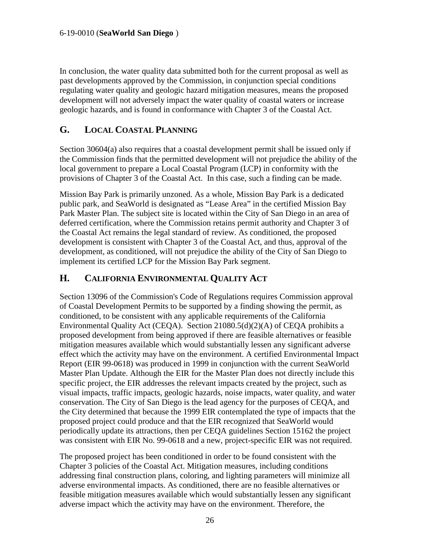In conclusion, the water quality data submitted both for the current proposal as well as past developments approved by the Commission, in conjunction special conditions regulating water quality and geologic hazard mitigation measures, means the proposed development will not adversely impact the water quality of coastal waters or increase geologic hazards, and is found in conformance with Chapter 3 of the Coastal Act.

### <span id="page-25-0"></span>**G. LOCAL COASTAL PLANNING**

Section 30604(a) also requires that a coastal development permit shall be issued only if the Commission finds that the permitted development will not prejudice the ability of the local government to prepare a Local Coastal Program (LCP) in conformity with the provisions of Chapter 3 of the Coastal Act. In this case, such a finding can be made.

Mission Bay Park is primarily unzoned. As a whole, Mission Bay Park is a dedicated public park, and SeaWorld is designated as "Lease Area" in the certified Mission Bay Park Master Plan. The subject site is located within the City of San Diego in an area of deferred certification, where the Commission retains permit authority and Chapter 3 of the Coastal Act remains the legal standard of review. As conditioned, the proposed development is consistent with Chapter 3 of the Coastal Act, and thus, approval of the development, as conditioned, will not prejudice the ability of the City of San Diego to implement its certified LCP for the Mission Bay Park segment.

### **H. CALIFORNIA ENVIRONMENTAL QUALITY ACT**

Section 13096 of the Commission's Code of Regulations requires Commission approval of Coastal Development Permits to be supported by a finding showing the permit, as conditioned, to be consistent with any applicable requirements of the California Environmental Quality Act (CEQA). Section 21080.5(d)(2)(A) of CEQA prohibits a proposed development from being approved if there are feasible alternatives or feasible mitigation measures available which would substantially lessen any significant adverse effect which the activity may have on the environment. A certified Environmental Impact Report (EIR 99-0618) was produced in 1999 in conjunction with the current SeaWorld Master Plan Update. Although the EIR for the Master Plan does not directly include this specific project, the EIR addresses the relevant impacts created by the project, such as visual impacts, traffic impacts, geologic hazards, noise impacts, water quality, and water conservation. The City of San Diego is the lead agency for the purposes of CEQA, and the City determined that because the 1999 EIR contemplated the type of impacts that the proposed project could produce and that the EIR recognized that SeaWorld would periodically update its attractions, then per CEQA guidelines Section 15162 the project was consistent with EIR No. 99-0618 and a new, project-specific EIR was not required.

The proposed project has been conditioned in order to be found consistent with the Chapter 3 policies of the Coastal Act. Mitigation measures, including conditions addressing final construction plans, coloring, and lighting parameters will minimize all adverse environmental impacts. As conditioned, there are no feasible alternatives or feasible mitigation measures available which would substantially lessen any significant adverse impact which the activity may have on the environment. Therefore, the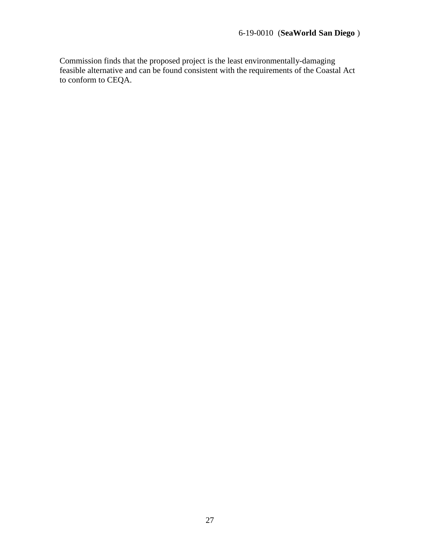Commission finds that the proposed project is the least environmentally-damaging feasible alternative and can be found consistent with the requirements of the Coastal Act to conform to CEQA.